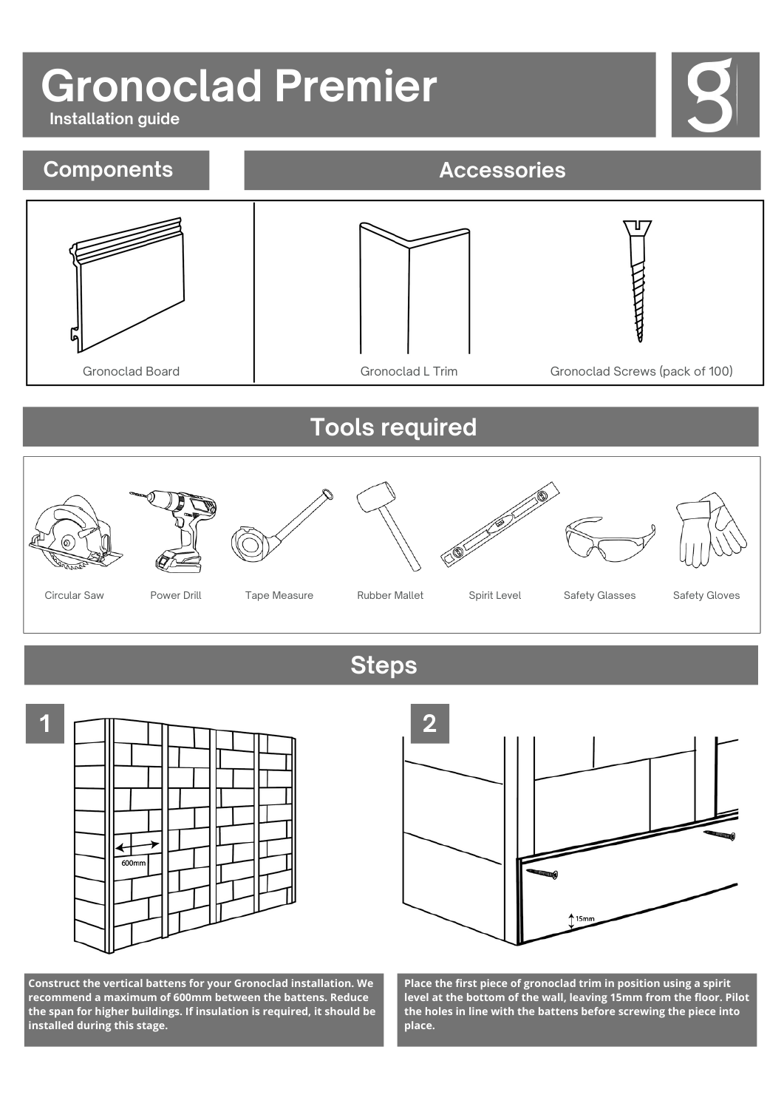## **Gronoclad Premier**

**Installation guide**



600m

**Construct the vertical battens for your Gronoclad installation. We recommend a maximum of 600mm between the battens. Reduce the span for higher buildings. If insulation is required, it should be installed during this stage.**



**Place the first piece of gronoclad trim in position using a spirit level at the bottom of the wall, leaving 15mm from the floor. Pilot the holes in line with the battens before screwing the piece into place.**